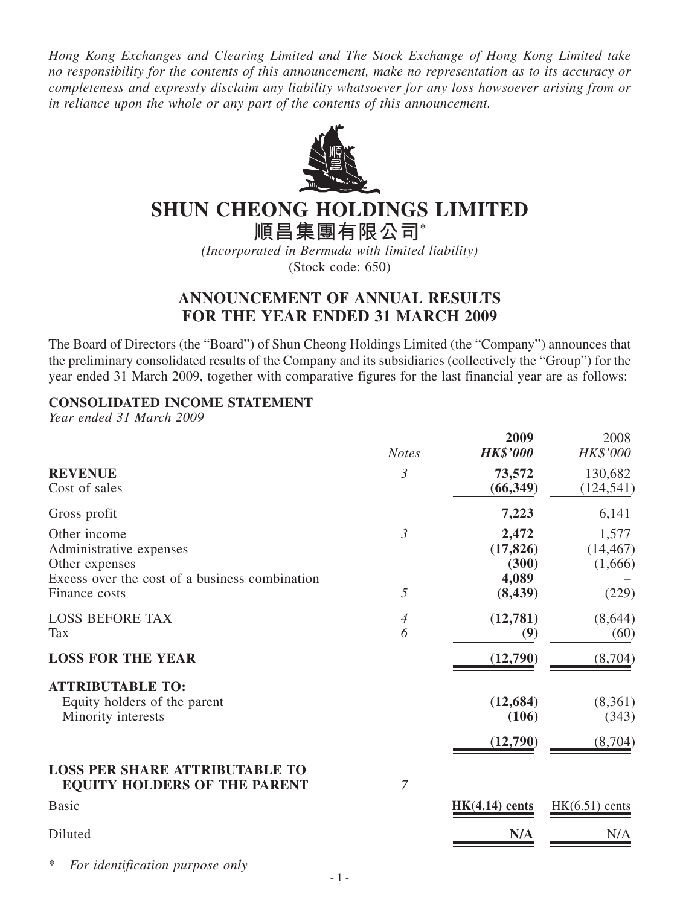*Hong Kong Exchanges and Clearing Limited and The Stock Exchange of Hong Kong Limited take no responsibility for the contents of this announcement, make no representation as to its accuracy or completeness and expressly disclaim any liability whatsoever for any loss howsoever arising from or in reliance upon the whole or any part of the contents of this announcement.*



# **SHUN CHEONG HOLDINGS LIMITED**

**順昌集團有限公司\***

*(Incorporated in Bermuda with limited liability)* (Stock code: 650)

# **ANNOUNCEMENT OF ANNUAL RESULTS FOR THE YEAR ENDED 31 MARCH 2009**

The Board of Directors (the "Board") of Shun Cheong Holdings Limited (the "Company") announces that the preliminary consolidated results of the Company and its subsidiaries (collectively the "Group") for the year ended 31 March 2009, together with comparative figures for the last financial year are as follows:

## **CONSOLIDATED INCOME STATEMENT**

*Year ended 31 March 2009*

|                                                                                                                              | <b>Notes</b>        | 2009<br><b>HK\$'000</b>                          | 2008<br>HK\$'000                       |
|------------------------------------------------------------------------------------------------------------------------------|---------------------|--------------------------------------------------|----------------------------------------|
| <b>REVENUE</b><br>Cost of sales                                                                                              | 3                   | 73,572<br>(66, 349)                              | 130,682<br>(124, 541)                  |
| Gross profit                                                                                                                 |                     | 7,223                                            | 6,141                                  |
| Other income<br>Administrative expenses<br>Other expenses<br>Excess over the cost of a business combination<br>Finance costs | $\mathfrak{Z}$<br>5 | 2,472<br>(17, 826)<br>(300)<br>4,089<br>(8, 439) | 1,577<br>(14, 467)<br>(1,666)<br>(229) |
| <b>LOSS BEFORE TAX</b><br><b>Tax</b>                                                                                         | $\overline{4}$<br>6 | (12,781)<br>(9)                                  | (8,644)<br>(60)                        |
| <b>LOSS FOR THE YEAR</b>                                                                                                     |                     | (12,790)                                         | (8,704)                                |
| <b>ATTRIBUTABLE TO:</b><br>Equity holders of the parent<br>Minority interests                                                |                     | (12, 684)<br>(106)<br>(12,790)                   | (8,361)<br>(343)<br>(8,704)            |
| <b>LOSS PER SHARE ATTRIBUTABLE TO</b><br><b>EQUITY HOLDERS OF THE PARENT</b>                                                 | $\overline{7}$      |                                                  |                                        |
| <b>Basic</b>                                                                                                                 |                     | $HK(4.14)$ cents                                 | $HK(6.51)$ cents                       |
| Diluted                                                                                                                      |                     | N/A                                              | N/A                                    |

 $For$  *identification purpose only*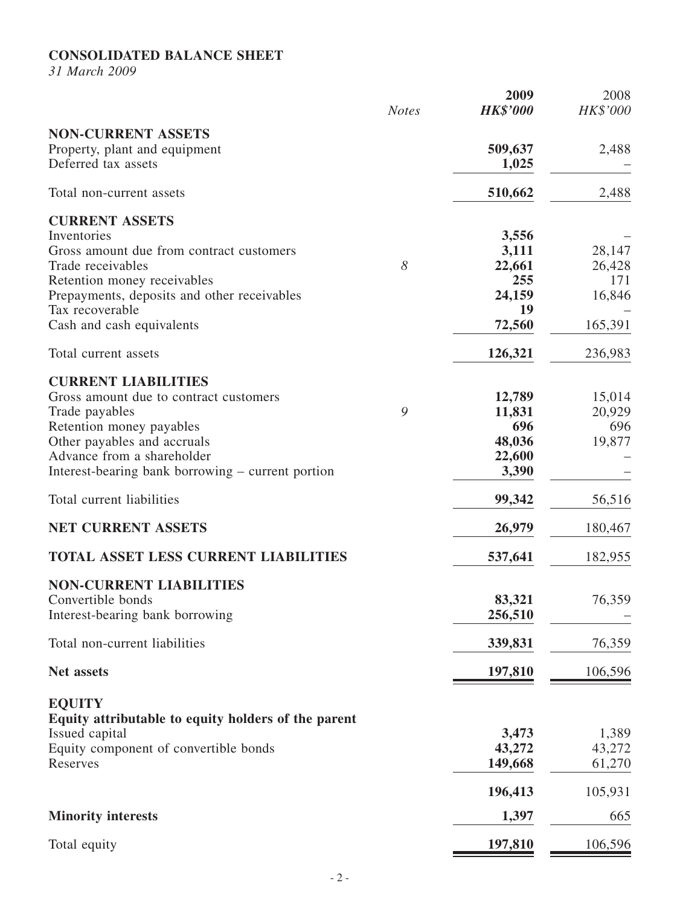## **CONSOLIDATED BALANCE SHEET**

*31 March 2009*

|                                                                                                                                                                                                                                      | <b>Notes</b> | 2009<br><b>HK\$'000</b>                                   | 2008<br><b>HK\$'000</b>                      |
|--------------------------------------------------------------------------------------------------------------------------------------------------------------------------------------------------------------------------------------|--------------|-----------------------------------------------------------|----------------------------------------------|
| <b>NON-CURRENT ASSETS</b><br>Property, plant and equipment<br>Deferred tax assets                                                                                                                                                    |              | 509,637<br>1,025                                          | 2,488                                        |
| Total non-current assets                                                                                                                                                                                                             |              | 510,662                                                   | 2,488                                        |
| <b>CURRENT ASSETS</b><br>Inventories<br>Gross amount due from contract customers<br>Trade receivables<br>Retention money receivables<br>Prepayments, deposits and other receivables<br>Tax recoverable<br>Cash and cash equivalents  | 8            | 3,556<br>3,111<br>22,661<br>255<br>24,159<br>19<br>72,560 | 28,147<br>26,428<br>171<br>16,846<br>165,391 |
| Total current assets                                                                                                                                                                                                                 |              | 126,321                                                   | 236,983                                      |
| <b>CURRENT LIABILITIES</b><br>Gross amount due to contract customers<br>Trade payables<br>Retention money payables<br>Other payables and accruals<br>Advance from a shareholder<br>Interest-bearing bank borrowing – current portion | 9            | 12,789<br>11,831<br>696<br>48,036<br>22,600<br>3,390      | 15,014<br>20,929<br>696<br>19,877            |
| Total current liabilities                                                                                                                                                                                                            |              | 99,342                                                    | 56,516                                       |
| <b>NET CURRENT ASSETS</b>                                                                                                                                                                                                            |              | 26,979                                                    | 180,467                                      |
| <b>TOTAL ASSET LESS CURRENT LIABILITIES</b>                                                                                                                                                                                          |              | 537,641                                                   | 182,955                                      |
| <b>NON-CURRENT LIABILITIES</b><br>Convertible bonds<br>Interest-bearing bank borrowing                                                                                                                                               |              | 83,321<br>256,510                                         | 76,359                                       |
| Total non-current liabilities                                                                                                                                                                                                        |              | 339,831                                                   | 76,359                                       |
| Net assets                                                                                                                                                                                                                           |              | 197,810                                                   | <u>106,596</u>                               |
| <b>EQUITY</b><br>Equity attributable to equity holders of the parent<br>Issued capital<br>Equity component of convertible bonds<br>Reserves                                                                                          |              | 3,473<br>43,272<br>149,668                                | 1,389<br>43,272<br>61,270                    |
| <b>Minority interests</b>                                                                                                                                                                                                            |              | 196,413<br>1,397                                          | 105,931<br>665                               |
| Total equity                                                                                                                                                                                                                         |              | 197,810                                                   | 106,596                                      |
|                                                                                                                                                                                                                                      |              |                                                           |                                              |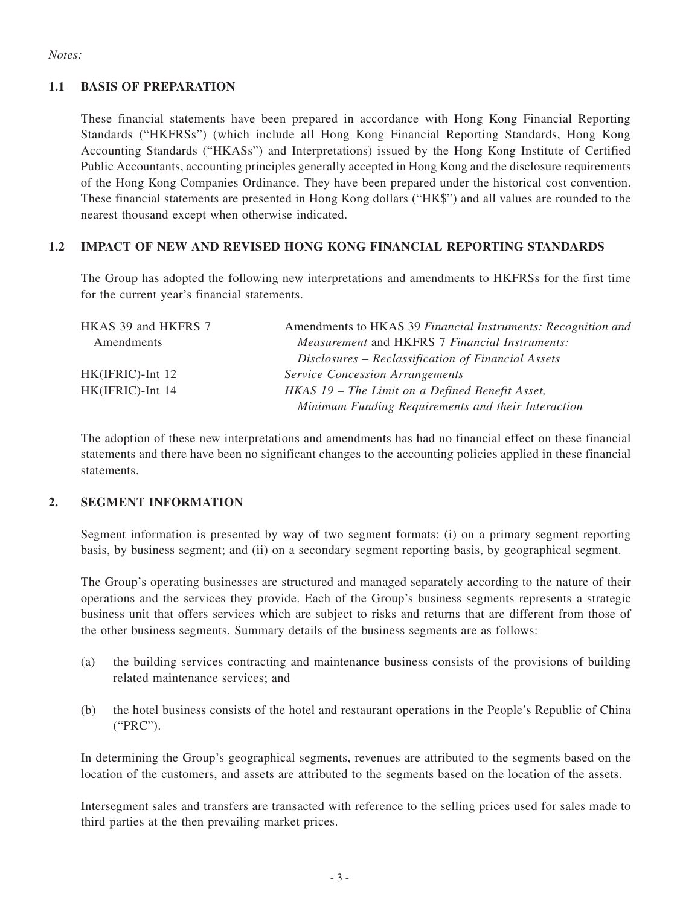#### *Notes:*

#### **1.1 BASIS OF PREPARATION**

These financial statements have been prepared in accordance with Hong Kong Financial Reporting Standards ("HKFRSs") (which include all Hong Kong Financial Reporting Standards, Hong Kong Accounting Standards ("HKASs") and Interpretations) issued by the Hong Kong Institute of Certified Public Accountants, accounting principles generally accepted in Hong Kong and the disclosure requirements of the Hong Kong Companies Ordinance. They have been prepared under the historical cost convention. These financial statements are presented in Hong Kong dollars ("HK\$") and all values are rounded to the nearest thousand except when otherwise indicated.

## **1.2 IMPACT OF NEW AND REVISED HONG KONG FINANCIAL REPORTING STANDARDS**

The Group has adopted the following new interpretations and amendments to HKFRSs for the first time for the current year's financial statements.

| HKAS 39 and HKFRS 7 | Amendments to HKAS 39 Financial Instruments: Recognition and |
|---------------------|--------------------------------------------------------------|
| Amendments          | <i>Measurement</i> and HKFRS 7 Financial Instruments:        |
|                     | Disclosures – Reclassification of Financial Assets           |
| HK(IFRIC)-Int 12    | <b>Service Concession Arrangements</b>                       |
| HK(IFRIC)-Int 14    | HKAS 19 – The Limit on a Defined Benefit Asset,              |
|                     | Minimum Funding Requirements and their Interaction           |

The adoption of these new interpretations and amendments has had no financial effect on these financial statements and there have been no significant changes to the accounting policies applied in these financial statements.

#### **2. SEGMENT INFORMATION**

Segment information is presented by way of two segment formats: (i) on a primary segment reporting basis, by business segment; and (ii) on a secondary segment reporting basis, by geographical segment.

The Group's operating businesses are structured and managed separately according to the nature of their operations and the services they provide. Each of the Group's business segments represents a strategic business unit that offers services which are subject to risks and returns that are different from those of the other business segments. Summary details of the business segments are as follows:

- (a) the building services contracting and maintenance business consists of the provisions of building related maintenance services; and
- (b) the hotel business consists of the hotel and restaurant operations in the People's Republic of China ("PRC").

In determining the Group's geographical segments, revenues are attributed to the segments based on the location of the customers, and assets are attributed to the segments based on the location of the assets.

Intersegment sales and transfers are transacted with reference to the selling prices used for sales made to third parties at the then prevailing market prices.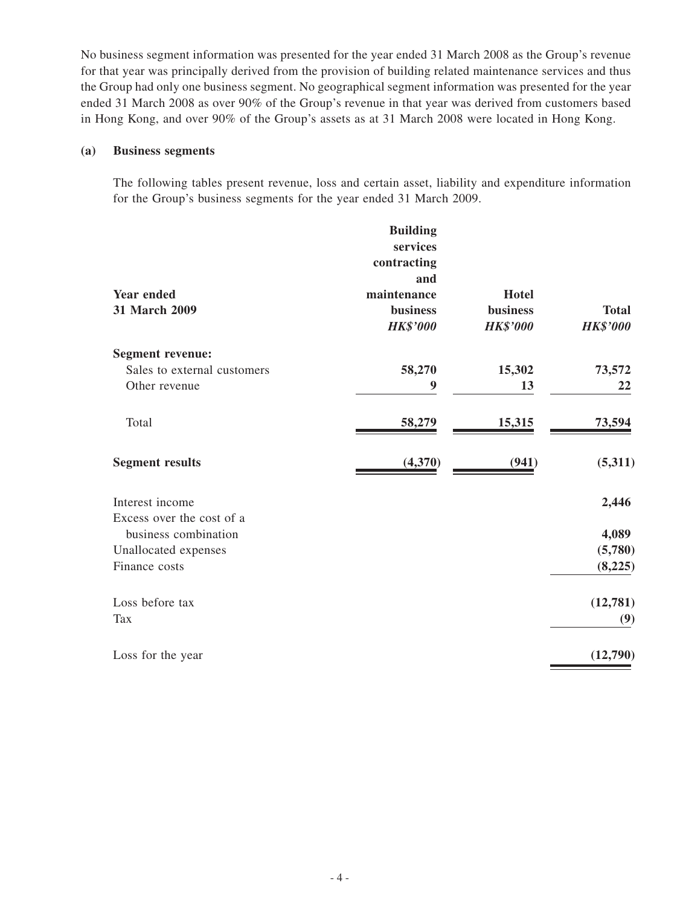No business segment information was presented for the year ended 31 March 2008 as the Group's revenue for that year was principally derived from the provision of building related maintenance services and thus the Group had only one business segment. No geographical segment information was presented for the year ended 31 March 2008 as over 90% of the Group's revenue in that year was derived from customers based in Hong Kong, and over 90% of the Group's assets as at 31 March 2008 were located in Hong Kong.

#### **(a) Business segments**

The following tables present revenue, loss and certain asset, liability and expenditure information for the Group's business segments for the year ended 31 March 2009.

|                             | <b>Building</b> |                 |                 |
|-----------------------------|-----------------|-----------------|-----------------|
|                             | services        |                 |                 |
|                             | contracting     |                 |                 |
|                             | and             |                 |                 |
| <b>Year ended</b>           | maintenance     | <b>Hotel</b>    |                 |
| 31 March 2009               | <b>business</b> | <b>business</b> | <b>Total</b>    |
|                             | <b>HK\$'000</b> | <b>HK\$'000</b> | <b>HK\$'000</b> |
| <b>Segment revenue:</b>     |                 |                 |                 |
| Sales to external customers | 58,270          | 15,302          | 73,572          |
| Other revenue               | 9               | 13              | 22              |
| Total                       | 58,279          | 15,315          | 73,594          |
| <b>Segment results</b>      | (4,370)         | (941)           | (5,311)         |
| Interest income             |                 |                 | 2,446           |
| Excess over the cost of a   |                 |                 |                 |
| business combination        |                 |                 | 4,089           |
| Unallocated expenses        |                 |                 | (5,780)         |
| Finance costs               |                 |                 | (8, 225)        |
| Loss before tax             |                 |                 | (12, 781)       |
| <b>Tax</b>                  |                 |                 | (9)             |
| Loss for the year           |                 |                 | (12,790)        |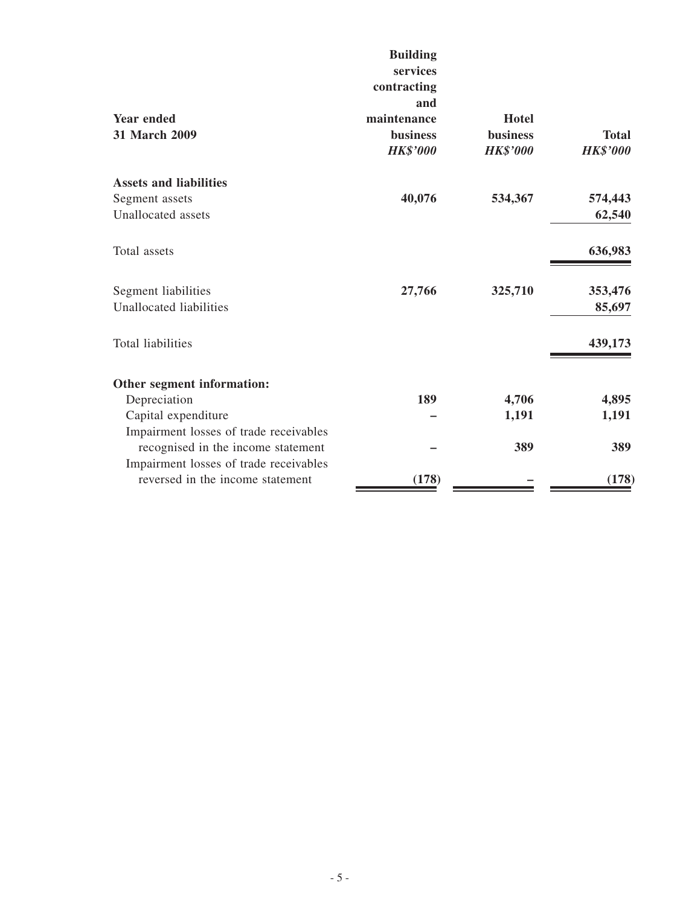|                                        | <b>Building</b> |                 |                 |
|----------------------------------------|-----------------|-----------------|-----------------|
|                                        | services        |                 |                 |
|                                        | contracting     |                 |                 |
|                                        | and             |                 |                 |
| <b>Year ended</b>                      | maintenance     | Hotel           |                 |
| 31 March 2009                          | <b>business</b> | <b>business</b> | <b>Total</b>    |
|                                        | <b>HK\$'000</b> | <b>HK\$'000</b> | <b>HK\$'000</b> |
| <b>Assets and liabilities</b>          |                 |                 |                 |
| Segment assets                         | 40,076          | 534,367         | 574,443         |
| <b>Unallocated</b> assets              |                 |                 | 62,540          |
| Total assets                           |                 |                 | 636,983         |
| Segment liabilities                    | 27,766          | 325,710         | 353,476         |
| Unallocated liabilities                |                 |                 | 85,697          |
| <b>Total liabilities</b>               |                 |                 | 439,173         |
| Other segment information:             |                 |                 |                 |
| Depreciation                           | 189             | 4,706           | 4,895           |
| Capital expenditure                    |                 | 1,191           | 1,191           |
| Impairment losses of trade receivables |                 |                 |                 |
| recognised in the income statement     |                 | 389             | 389             |
| Impairment losses of trade receivables |                 |                 |                 |
| reversed in the income statement       | (178)           |                 | (178)           |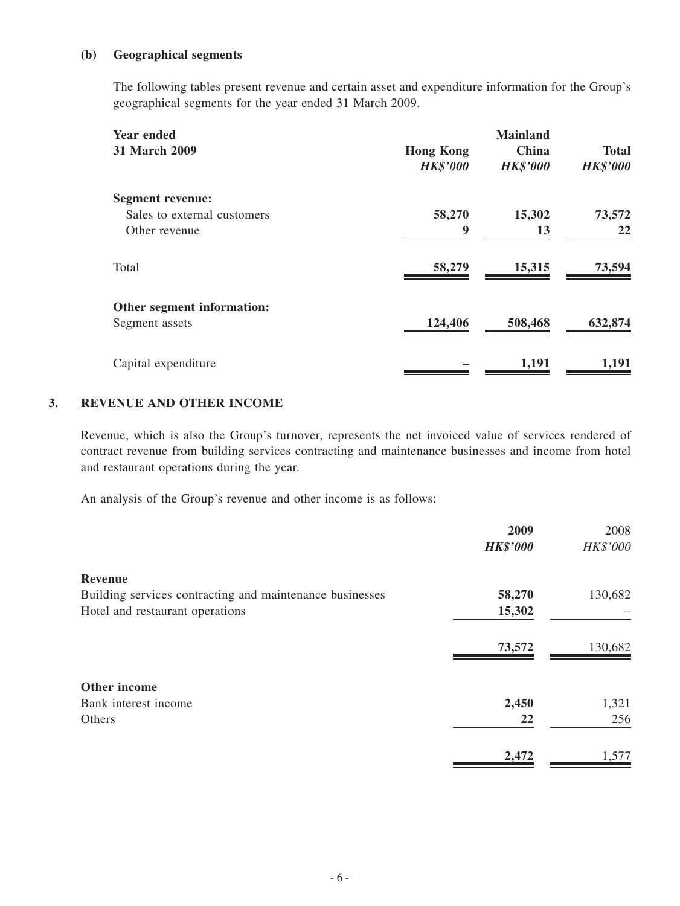#### **(b) Geographical segments**

The following tables present revenue and certain asset and expenditure information for the Group's geographical segments for the year ended 31 March 2009.

| <b>Year ended</b><br><b>31 March 2009</b> | <b>Hong Kong</b><br><b>HK\$'000</b> | <b>Mainland</b><br>China<br><b>HK\$'000</b> | <b>Total</b><br><b>HK\$'000</b> |
|-------------------------------------------|-------------------------------------|---------------------------------------------|---------------------------------|
| <b>Segment revenue:</b>                   |                                     |                                             |                                 |
| Sales to external customers               | 58,270                              | 15,302                                      | 73,572                          |
| Other revenue                             | 9                                   | 13                                          | 22                              |
| Total                                     | 58,279                              | 15,315                                      | 73,594                          |
| Other segment information:                |                                     |                                             |                                 |
| Segment assets                            | 124,406                             | 508,468                                     | 632,874                         |
| Capital expenditure                       |                                     | 1,191                                       | 1,191                           |

#### **3. REVENUE AND OTHER INCOME**

Revenue, which is also the Group's turnover, represents the net invoiced value of services rendered of contract revenue from building services contracting and maintenance businesses and income from hotel and restaurant operations during the year.

An analysis of the Group's revenue and other income is as follows:

|                                                          | 2009            | 2008     |
|----------------------------------------------------------|-----------------|----------|
|                                                          | <b>HK\$'000</b> | HK\$'000 |
| <b>Revenue</b>                                           |                 |          |
| Building services contracting and maintenance businesses | 58,270          | 130,682  |
| Hotel and restaurant operations                          | 15,302          |          |
|                                                          | 73,572          | 130,682  |
| Other income                                             |                 |          |
| Bank interest income                                     | 2,450           | 1,321    |
| Others                                                   | 22              | 256      |
|                                                          | 2,472           | 1,577    |
|                                                          |                 |          |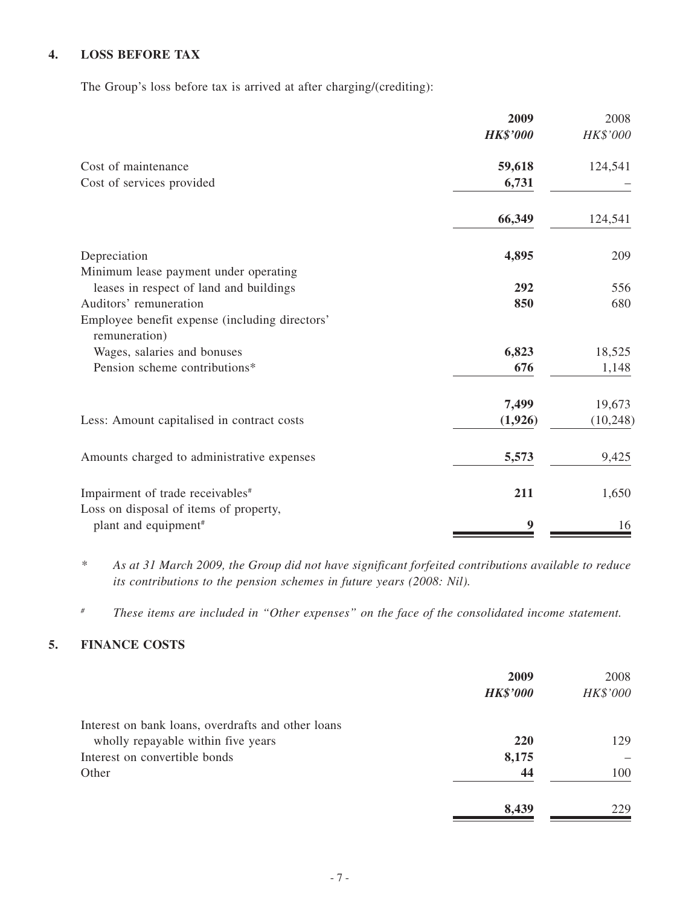#### **4. LOSS BEFORE TAX**

The Group's loss before tax is arrived at after charging/(crediting):

|                                                                 | 2009            | 2008      |
|-----------------------------------------------------------------|-----------------|-----------|
|                                                                 | <b>HK\$'000</b> | HK\$'000  |
| Cost of maintenance                                             | 59,618          | 124,541   |
| Cost of services provided                                       | 6,731           |           |
|                                                                 | 66,349          | 124,541   |
| Depreciation                                                    | 4,895           | 209       |
| Minimum lease payment under operating                           |                 |           |
| leases in respect of land and buildings                         | 292             | 556       |
| Auditors' remuneration                                          | 850             | 680       |
| Employee benefit expense (including directors'<br>remuneration) |                 |           |
| Wages, salaries and bonuses                                     | 6,823           | 18,525    |
| Pension scheme contributions*                                   | 676             | 1,148     |
|                                                                 | 7,499           | 19,673    |
| Less: Amount capitalised in contract costs                      | (1,926)         | (10, 248) |
| Amounts charged to administrative expenses                      | 5,573           | 9,425     |
| Impairment of trade receivables <sup>#</sup>                    | 211             | 1,650     |
| Loss on disposal of items of property,                          |                 |           |
| plant and equipment <sup>#</sup>                                | 9               | 16        |

*\* As at 31 March 2009, the Group did not have significant forfeited contributions available to reduce its contributions to the pension schemes in future years (2008: Nil).*

*# These items are included in "Other expenses" on the face of the consolidated income statement.*

## **5. FINANCE COSTS**

|                                                    | 2009<br><b>HK\$'000</b> | 2008<br>HK\$'000 |
|----------------------------------------------------|-------------------------|------------------|
| Interest on bank loans, overdrafts and other loans |                         |                  |
| wholly repayable within five years                 | 220                     | 129              |
| Interest on convertible bonds                      | 8,175                   |                  |
| Other                                              | 44                      | 100              |
|                                                    | 8,439                   | 229              |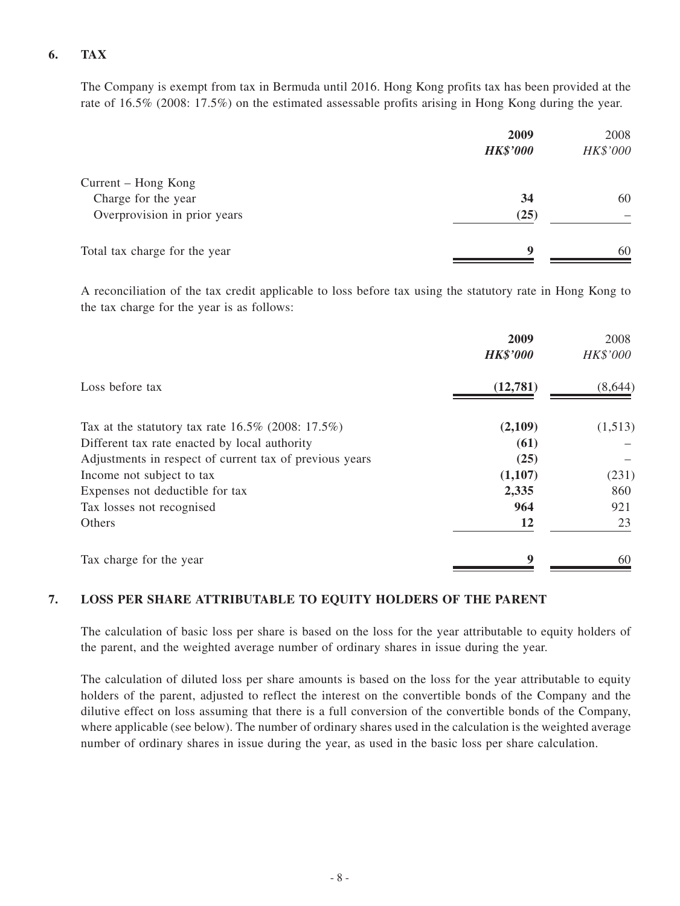## **6. TAX**

The Company is exempt from tax in Bermuda until 2016. Hong Kong profits tax has been provided at the rate of 16.5% (2008: 17.5%) on the estimated assessable profits arising in Hong Kong during the year.

|                               | 2009<br><b>HK\$'000</b> | 2008<br>HK\$'000 |
|-------------------------------|-------------------------|------------------|
| Current – Hong Kong           |                         |                  |
| Charge for the year           | 34                      | 60               |
| Overprovision in prior years  | (25)                    |                  |
| Total tax charge for the year | $\mathbf Q$             | 60               |

A reconciliation of the tax credit applicable to loss before tax using the statutory rate in Hong Kong to the tax charge for the year is as follows:

|                                                         | 2009            | 2008     |
|---------------------------------------------------------|-----------------|----------|
|                                                         | <b>HK\$'000</b> | HK\$'000 |
| Loss before tax                                         | (12,781)        | (8,644)  |
| Tax at the statutory tax rate $16.5\%$ (2008: 17.5%)    | (2,109)         | (1,513)  |
| Different tax rate enacted by local authority           | (61)            |          |
| Adjustments in respect of current tax of previous years | (25)            |          |
| Income not subject to tax                               | (1,107)         | (231)    |
| Expenses not deductible for tax                         | 2,335           | 860      |
| Tax losses not recognised                               | 964             | 921      |
| Others                                                  | 12              | 23       |
| Tax charge for the year                                 | 9               | 60       |

#### **7. LOSS PER SHARE ATTRIBUTABLE TO EQUITY HOLDERS OF THE PARENT**

The calculation of basic loss per share is based on the loss for the year attributable to equity holders of the parent, and the weighted average number of ordinary shares in issue during the year.

The calculation of diluted loss per share amounts is based on the loss for the year attributable to equity holders of the parent, adjusted to reflect the interest on the convertible bonds of the Company and the dilutive effect on loss assuming that there is a full conversion of the convertible bonds of the Company, where applicable (see below). The number of ordinary shares used in the calculation is the weighted average number of ordinary shares in issue during the year, as used in the basic loss per share calculation.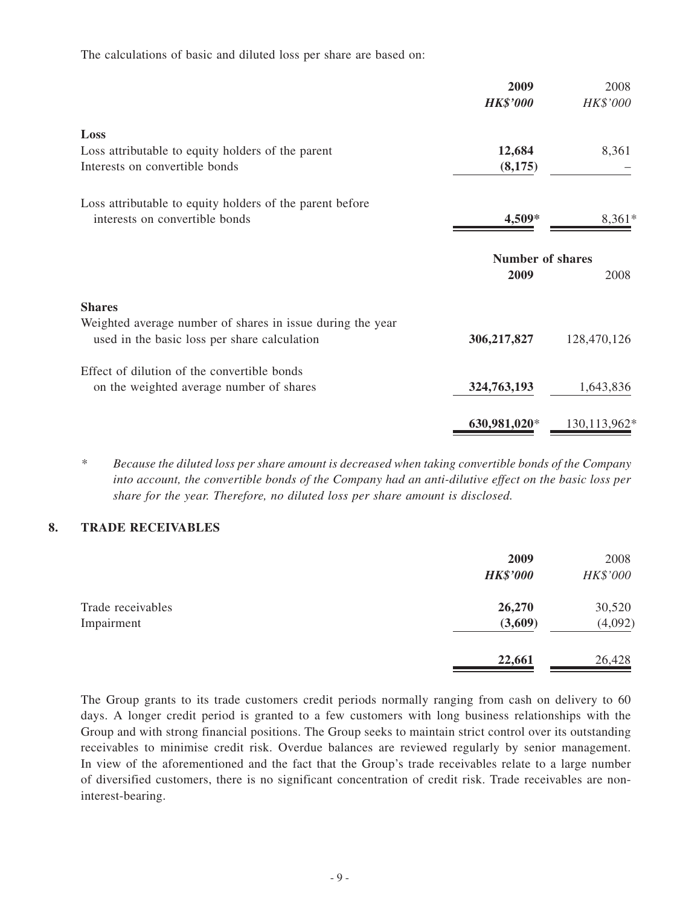The calculations of basic and diluted loss per share are based on:

| 2009<br><b>HK\$'000</b> | 2008<br>HK\$'000 |
|-------------------------|------------------|
|                         |                  |
| 12,684                  | 8,361            |
| (8,175)                 |                  |
|                         |                  |
| 4,509*                  | $8,361*$         |
| <b>Number of shares</b> |                  |
| 2009                    | 2008             |
|                         |                  |
|                         |                  |
| 306,217,827             | 128,470,126      |
|                         |                  |
| 324,763,193             | 1,643,836        |
| 630,981,020*            | 130,113,962*     |
|                         |                  |

*\* Because the diluted loss per share amount is decreased when taking convertible bonds of the Company into account, the convertible bonds of the Company had an anti-dilutive effect on the basic loss per share for the year. Therefore, no diluted loss per share amount is disclosed.*

#### **8. TRADE RECEIVABLES**

|                                 | 2009<br><b>HK\$'000</b> | 2008<br>HK\$'000  |
|---------------------------------|-------------------------|-------------------|
| Trade receivables<br>Impairment | 26,270<br>(3,609)       | 30,520<br>(4,092) |
|                                 | 22,661                  | 26,428            |

The Group grants to its trade customers credit periods normally ranging from cash on delivery to 60 days. A longer credit period is granted to a few customers with long business relationships with the Group and with strong financial positions. The Group seeks to maintain strict control over its outstanding receivables to minimise credit risk. Overdue balances are reviewed regularly by senior management. In view of the aforementioned and the fact that the Group's trade receivables relate to a large number of diversified customers, there is no significant concentration of credit risk. Trade receivables are noninterest-bearing.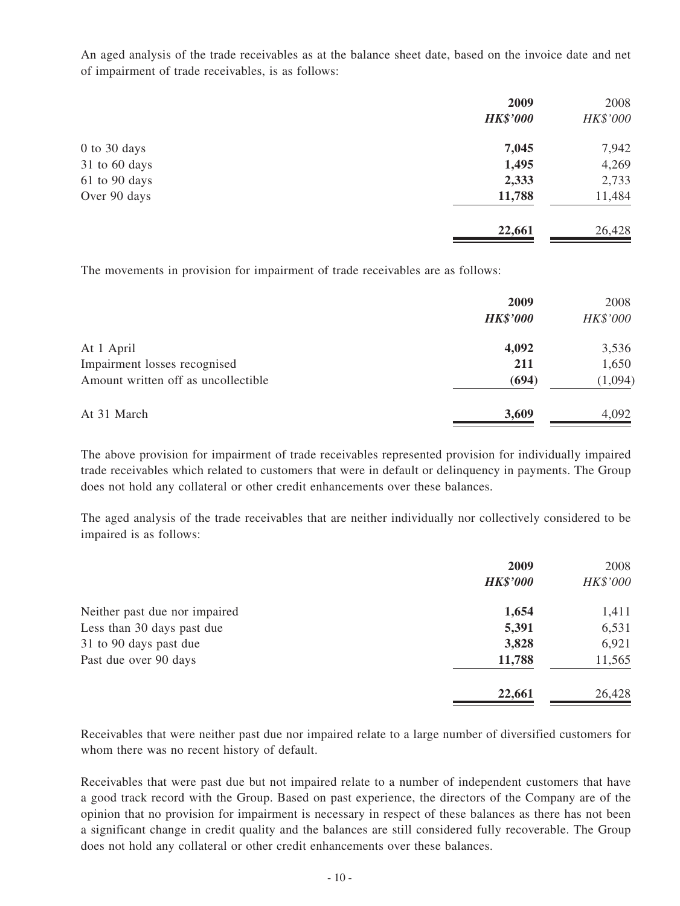An aged analysis of the trade receivables as at the balance sheet date, based on the invoice date and net of impairment of trade receivables, is as follows:

|                | 2009            | 2008     |
|----------------|-----------------|----------|
|                | <b>HK\$'000</b> | HK\$'000 |
| $0$ to 30 days | 7,045           | 7,942    |
| 31 to 60 days  | 1,495           | 4,269    |
| 61 to 90 days  | 2,333           | 2,733    |
| Over 90 days   | 11,788          | 11,484   |
|                | 22,661          | 26,428   |

The movements in provision for impairment of trade receivables are as follows:

|                                     | 2009<br><b>HK\$'000</b> | 2008<br>HK\$'000 |
|-------------------------------------|-------------------------|------------------|
| At 1 April                          | 4,092                   | 3,536            |
| Impairment losses recognised        | 211                     | 1,650            |
| Amount written off as uncollectible | (694)                   | (1,094)          |
| At 31 March                         | 3,609                   | 4,092            |

The above provision for impairment of trade receivables represented provision for individually impaired trade receivables which related to customers that were in default or delinquency in payments. The Group does not hold any collateral or other credit enhancements over these balances.

The aged analysis of the trade receivables that are neither individually nor collectively considered to be impaired is as follows:

|                               | 2009            | 2008     |
|-------------------------------|-----------------|----------|
|                               | <b>HK\$'000</b> | HK\$'000 |
| Neither past due nor impaired | 1,654           | 1,411    |
| Less than 30 days past due    | 5,391           | 6,531    |
| 31 to 90 days past due        | 3,828           | 6,921    |
| Past due over 90 days         | 11,788          | 11,565   |
|                               | 22,661          | 26,428   |

Receivables that were neither past due nor impaired relate to a large number of diversified customers for whom there was no recent history of default.

Receivables that were past due but not impaired relate to a number of independent customers that have a good track record with the Group. Based on past experience, the directors of the Company are of the opinion that no provision for impairment is necessary in respect of these balances as there has not been a significant change in credit quality and the balances are still considered fully recoverable. The Group does not hold any collateral or other credit enhancements over these balances.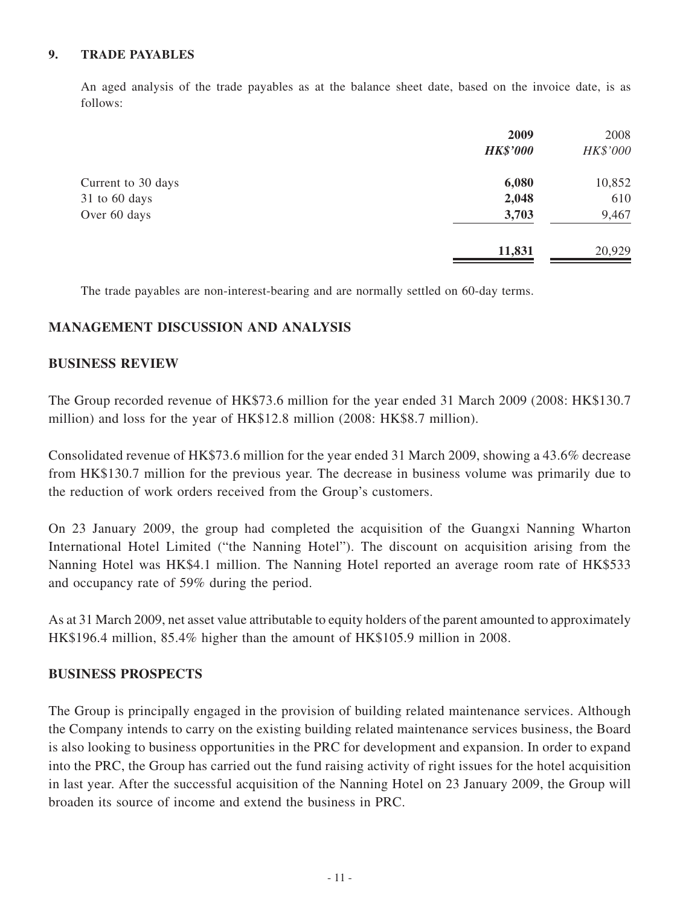#### **9. TRADE PAYABLES**

An aged analysis of the trade payables as at the balance sheet date, based on the invoice date, is as follows:

|                    | 2009            | 2008     |
|--------------------|-----------------|----------|
|                    | <b>HK\$'000</b> | HK\$'000 |
| Current to 30 days | 6,080           | 10,852   |
| 31 to 60 days      | 2,048           | 610      |
| Over 60 days       | 3,703           | 9,467    |
|                    | 11,831          | 20,929   |

The trade payables are non-interest-bearing and are normally settled on 60-day terms.

#### **MANAGEMENT DISCUSSION AND ANALYSIS**

#### **BUSINESS REVIEW**

The Group recorded revenue of HK\$73.6 million for the year ended 31 March 2009 (2008: HK\$130.7 million) and loss for the year of HK\$12.8 million (2008: HK\$8.7 million).

Consolidated revenue of HK\$73.6 million for the year ended 31 March 2009, showing a 43.6% decrease from HK\$130.7 million for the previous year. The decrease in business volume was primarily due to the reduction of work orders received from the Group's customers.

On 23 January 2009, the group had completed the acquisition of the Guangxi Nanning Wharton International Hotel Limited ("the Nanning Hotel"). The discount on acquisition arising from the Nanning Hotel was HK\$4.1 million. The Nanning Hotel reported an average room rate of HK\$533 and occupancy rate of 59% during the period.

As at 31 March 2009, net asset value attributable to equity holders of the parent amounted to approximately HK\$196.4 million, 85.4% higher than the amount of HK\$105.9 million in 2008.

#### **BUSINESS PROSPECTS**

The Group is principally engaged in the provision of building related maintenance services. Although the Company intends to carry on the existing building related maintenance services business, the Board is also looking to business opportunities in the PRC for development and expansion. In order to expand into the PRC, the Group has carried out the fund raising activity of right issues for the hotel acquisition in last year. After the successful acquisition of the Nanning Hotel on 23 January 2009, the Group will broaden its source of income and extend the business in PRC.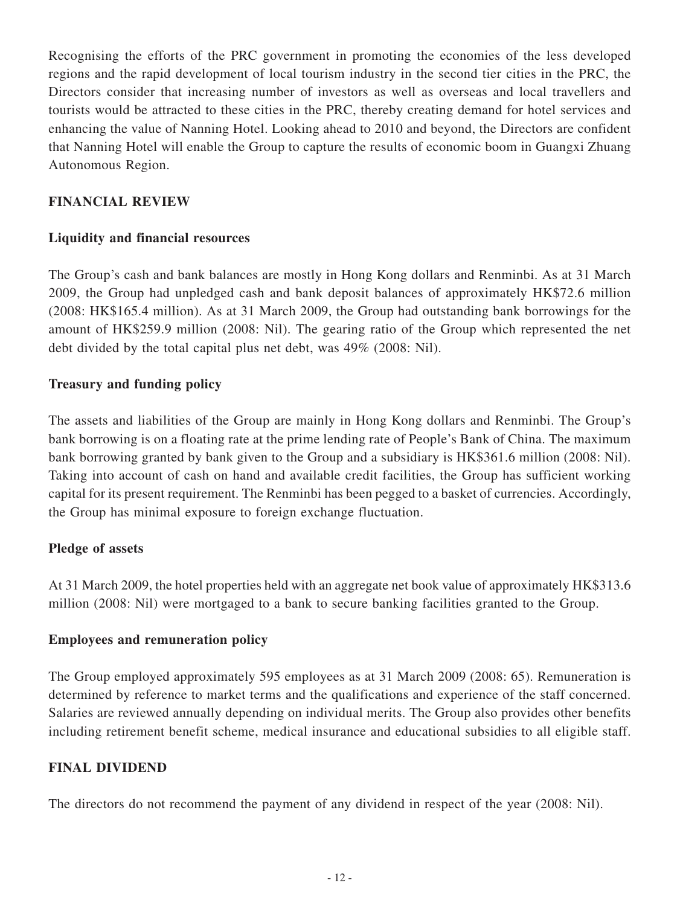Recognising the efforts of the PRC government in promoting the economies of the less developed regions and the rapid development of local tourism industry in the second tier cities in the PRC, the Directors consider that increasing number of investors as well as overseas and local travellers and tourists would be attracted to these cities in the PRC, thereby creating demand for hotel services and enhancing the value of Nanning Hotel. Looking ahead to 2010 and beyond, the Directors are confident that Nanning Hotel will enable the Group to capture the results of economic boom in Guangxi Zhuang Autonomous Region.

## **FINANCIAL REVIEW**

## **Liquidity and financial resources**

The Group's cash and bank balances are mostly in Hong Kong dollars and Renminbi. As at 31 March 2009, the Group had unpledged cash and bank deposit balances of approximately HK\$72.6 million (2008: HK\$165.4 million). As at 31 March 2009, the Group had outstanding bank borrowings for the amount of HK\$259.9 million (2008: Nil). The gearing ratio of the Group which represented the net debt divided by the total capital plus net debt, was 49% (2008: Nil).

## **Treasury and funding policy**

The assets and liabilities of the Group are mainly in Hong Kong dollars and Renminbi. The Group's bank borrowing is on a floating rate at the prime lending rate of People's Bank of China. The maximum bank borrowing granted by bank given to the Group and a subsidiary is HK\$361.6 million (2008: Nil). Taking into account of cash on hand and available credit facilities, the Group has sufficient working capital for its present requirement. The Renminbi has been pegged to a basket of currencies. Accordingly, the Group has minimal exposure to foreign exchange fluctuation.

## **Pledge of assets**

At 31 March 2009, the hotel properties held with an aggregate net book value of approximately HK\$313.6 million (2008: Nil) were mortgaged to a bank to secure banking facilities granted to the Group.

#### **Employees and remuneration policy**

The Group employed approximately 595 employees as at 31 March 2009 (2008: 65). Remuneration is determined by reference to market terms and the qualifications and experience of the staff concerned. Salaries are reviewed annually depending on individual merits. The Group also provides other benefits including retirement benefit scheme, medical insurance and educational subsidies to all eligible staff.

#### **FINAL DIVIDEND**

The directors do not recommend the payment of any dividend in respect of the year (2008: Nil).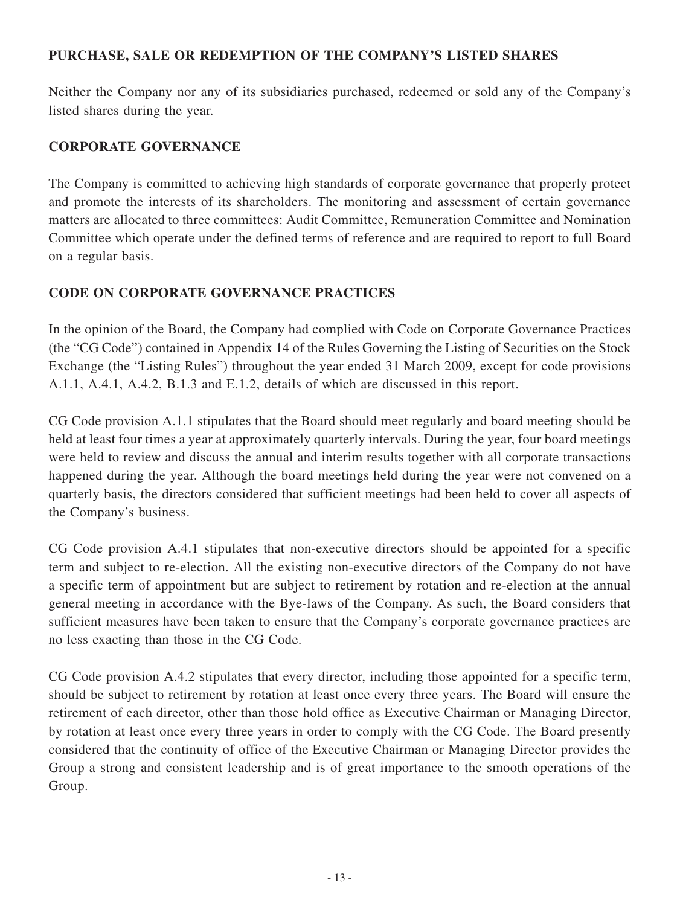## **PURCHASE, SALE OR REDEMPTION OF THE COMPANY'S LISTED SHARES**

Neither the Company nor any of its subsidiaries purchased, redeemed or sold any of the Company's listed shares during the year.

## **CORPORATE GOVERNANCE**

The Company is committed to achieving high standards of corporate governance that properly protect and promote the interests of its shareholders. The monitoring and assessment of certain governance matters are allocated to three committees: Audit Committee, Remuneration Committee and Nomination Committee which operate under the defined terms of reference and are required to report to full Board on a regular basis.

## **CODE ON CORPORATE GOVERNANCE PRACTICES**

In the opinion of the Board, the Company had complied with Code on Corporate Governance Practices (the "CG Code") contained in Appendix 14 of the Rules Governing the Listing of Securities on the Stock Exchange (the "Listing Rules") throughout the year ended 31 March 2009, except for code provisions A.1.1, A.4.1, A.4.2, B.1.3 and E.1.2, details of which are discussed in this report.

CG Code provision A.1.1 stipulates that the Board should meet regularly and board meeting should be held at least four times a year at approximately quarterly intervals. During the year, four board meetings were held to review and discuss the annual and interim results together with all corporate transactions happened during the year. Although the board meetings held during the year were not convened on a quarterly basis, the directors considered that sufficient meetings had been held to cover all aspects of the Company's business.

CG Code provision A.4.1 stipulates that non-executive directors should be appointed for a specific term and subject to re-election. All the existing non-executive directors of the Company do not have a specific term of appointment but are subject to retirement by rotation and re-election at the annual general meeting in accordance with the Bye-laws of the Company. As such, the Board considers that sufficient measures have been taken to ensure that the Company's corporate governance practices are no less exacting than those in the CG Code.

CG Code provision A.4.2 stipulates that every director, including those appointed for a specific term, should be subject to retirement by rotation at least once every three years. The Board will ensure the retirement of each director, other than those hold office as Executive Chairman or Managing Director, by rotation at least once every three years in order to comply with the CG Code. The Board presently considered that the continuity of office of the Executive Chairman or Managing Director provides the Group a strong and consistent leadership and is of great importance to the smooth operations of the Group.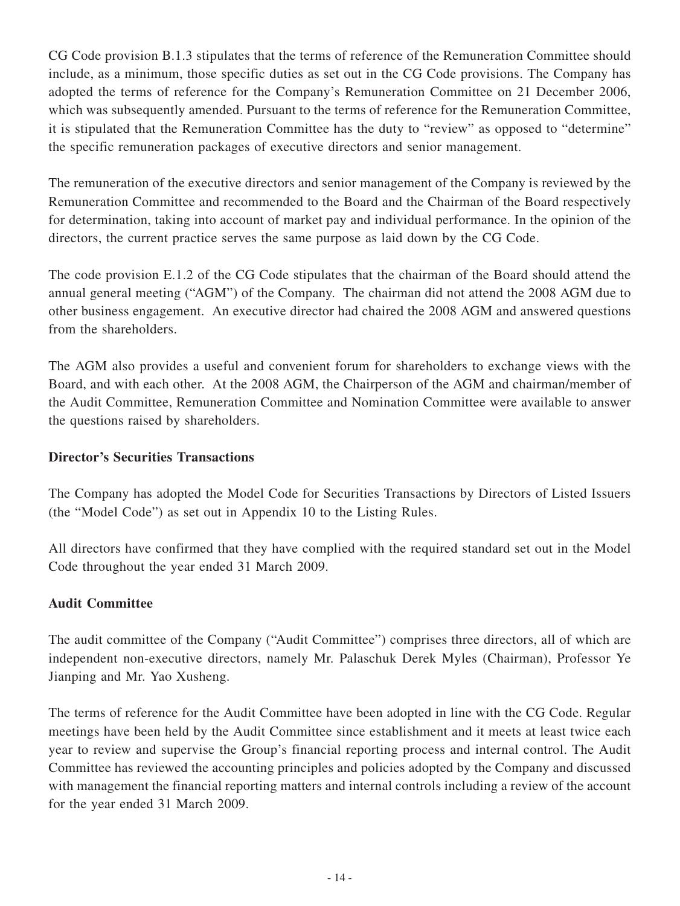CG Code provision B.1.3 stipulates that the terms of reference of the Remuneration Committee should include, as a minimum, those specific duties as set out in the CG Code provisions. The Company has adopted the terms of reference for the Company's Remuneration Committee on 21 December 2006, which was subsequently amended. Pursuant to the terms of reference for the Remuneration Committee, it is stipulated that the Remuneration Committee has the duty to "review" as opposed to "determine" the specific remuneration packages of executive directors and senior management.

The remuneration of the executive directors and senior management of the Company is reviewed by the Remuneration Committee and recommended to the Board and the Chairman of the Board respectively for determination, taking into account of market pay and individual performance. In the opinion of the directors, the current practice serves the same purpose as laid down by the CG Code.

The code provision E.1.2 of the CG Code stipulates that the chairman of the Board should attend the annual general meeting ("AGM") of the Company. The chairman did not attend the 2008 AGM due to other business engagement. An executive director had chaired the 2008 AGM and answered questions from the shareholders.

The AGM also provides a useful and convenient forum for shareholders to exchange views with the Board, and with each other. At the 2008 AGM, the Chairperson of the AGM and chairman/member of the Audit Committee, Remuneration Committee and Nomination Committee were available to answer the questions raised by shareholders.

## **Director's Securities Transactions**

The Company has adopted the Model Code for Securities Transactions by Directors of Listed Issuers (the "Model Code") as set out in Appendix 10 to the Listing Rules.

All directors have confirmed that they have complied with the required standard set out in the Model Code throughout the year ended 31 March 2009.

## **Audit Committee**

The audit committee of the Company ("Audit Committee") comprises three directors, all of which are independent non-executive directors, namely Mr. Palaschuk Derek Myles (Chairman), Professor Ye Jianping and Mr. Yao Xusheng.

The terms of reference for the Audit Committee have been adopted in line with the CG Code. Regular meetings have been held by the Audit Committee since establishment and it meets at least twice each year to review and supervise the Group's financial reporting process and internal control. The Audit Committee has reviewed the accounting principles and policies adopted by the Company and discussed with management the financial reporting matters and internal controls including a review of the account for the year ended 31 March 2009.